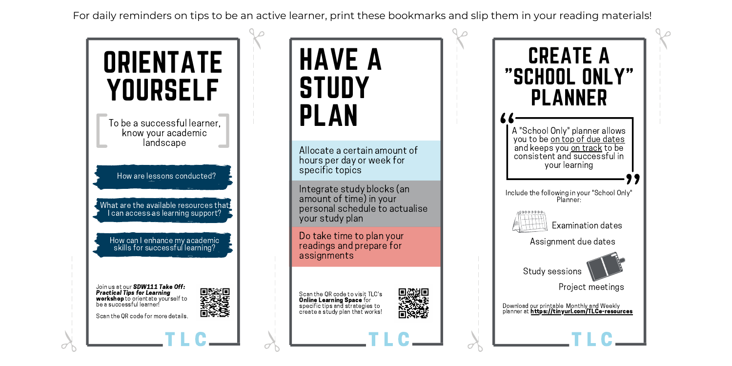For daily reminders on tips to be an active learner, print these bookmarks and slip them in your reading materials!



σ